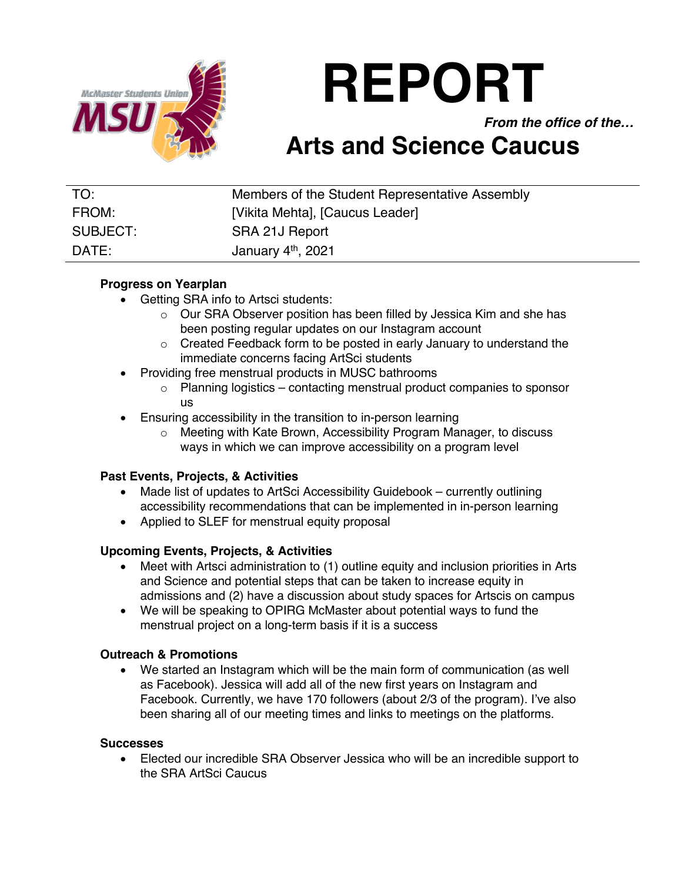

# **REPORT**

*From the office of the…*

## **Arts and Science Caucus**

| TO:      | Members of the Student Representative Assembly |
|----------|------------------------------------------------|
| FROM:    | [Vikita Mehta], [Caucus Leader]                |
| SUBJECT: | SRA 21J Report                                 |
| DATE:    | January 4 <sup>th</sup> , 2021                 |

#### **Progress on Yearplan**

- Getting SRA info to Artsci students:
	- o Our SRA Observer position has been filled by Jessica Kim and she has been posting regular updates on our Instagram account
	- o Created Feedback form to be posted in early January to understand the immediate concerns facing ArtSci students
- Providing free menstrual products in MUSC bathrooms
	- o Planning logistics contacting menstrual product companies to sponsor us
- Ensuring accessibility in the transition to in-person learning
	- o Meeting with Kate Brown, Accessibility Program Manager, to discuss ways in which we can improve accessibility on a program level

#### **Past Events, Projects, & Activities**

- Made list of updates to ArtSci Accessibility Guidebook currently outlining accessibility recommendations that can be implemented in in-person learning
- Applied to SLEF for menstrual equity proposal

#### **Upcoming Events, Projects, & Activities**

- Meet with Artsci administration to (1) outline equity and inclusion priorities in Arts and Science and potential steps that can be taken to increase equity in admissions and (2) have a discussion about study spaces for Artscis on campus
- We will be speaking to OPIRG McMaster about potential ways to fund the menstrual project on a long-term basis if it is a success

### **Outreach & Promotions**

• We started an Instagram which will be the main form of communication (as well as Facebook). Jessica will add all of the new first years on Instagram and Facebook. Currently, we have 170 followers (about 2/3 of the program). I've also been sharing all of our meeting times and links to meetings on the platforms.

#### **Successes**

• Elected our incredible SRA Observer Jessica who will be an incredible support to the SRA ArtSci Caucus